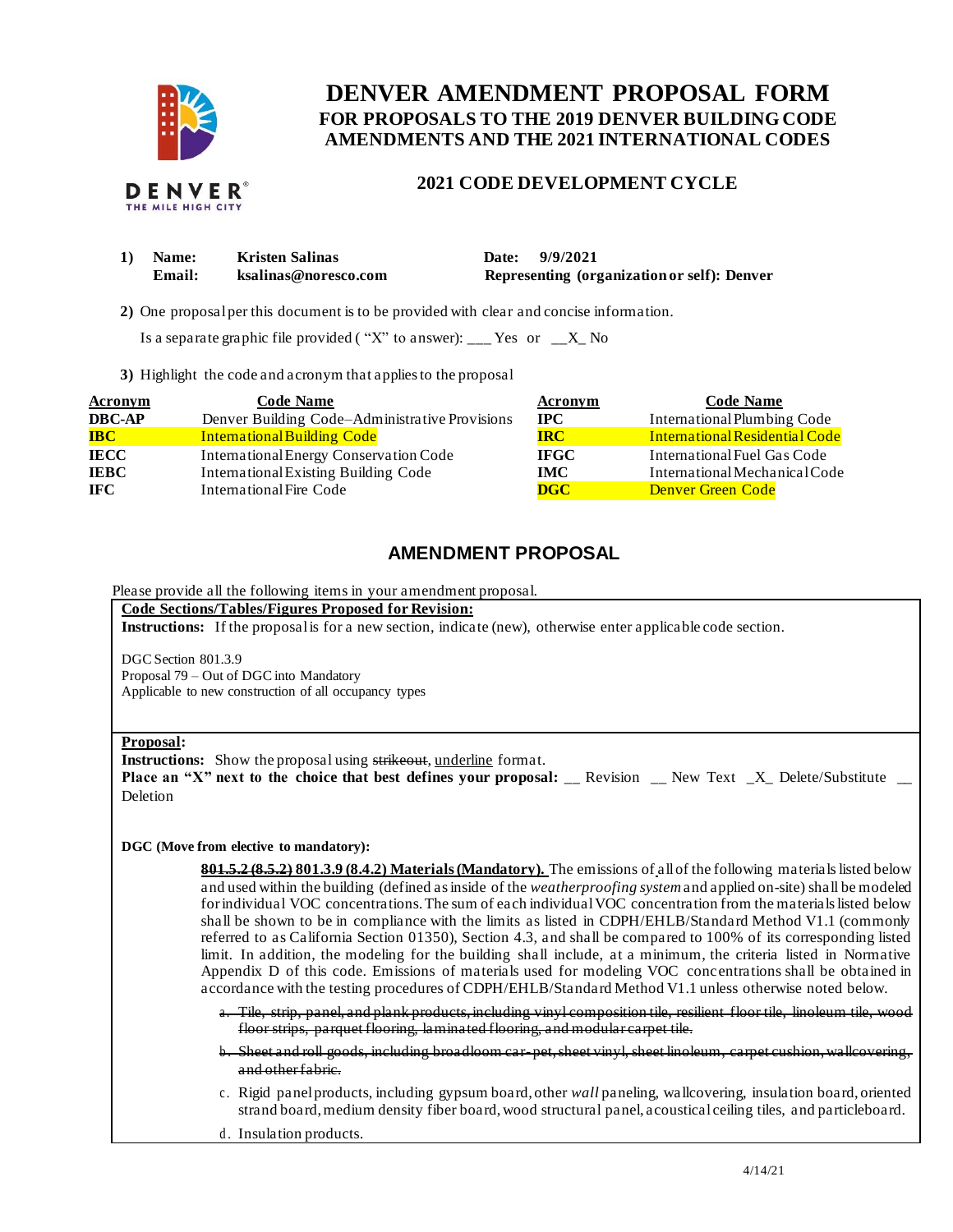

# **FOR PROPOSALS TO THE 2019 DENVER BUILDING CODE DENVER AMENDMENT PROPOSAL FORM AMENDMENTS AND THE 2021 INTERNATIONAL CODES**

## **2021 CODE DEVELOPMENT CYCLE**

| 1) | <b>Name:</b> | <b>Kristen Salinas</b> | Date: 9/9/2021                              |
|----|--------------|------------------------|---------------------------------------------|
|    | Email:       | ksalinas@noresco.com   | Representing (organization or self): Denver |

**2)** One proposalper this document is to be provided with clear and concise information.

Is a separate graphic file provided ("X" to answer): \_\_\_ Yes or  $X_N$  No

**3)** Highlight the code and acronym that applies to the proposal

| <b>Acronym</b>  | <b>Code Name</b>                               | Acronym     | <b>Code Name</b>               |
|-----------------|------------------------------------------------|-------------|--------------------------------|
| <b>DBC-AP</b>   | Denver Building Code-Administrative Provisions | $\bf IPC$   | International Plumbing Code    |
| $\overline{BC}$ | <b>International Building Code</b>             | <b>IRC</b>  | International Residential Code |
| <b>IECC</b>     | International Energy Conservation Code         | <b>IFGC</b> | International Fuel Gas Code    |
| <b>IEBC</b>     | <b>International Existing Building Code</b>    | IMC.        | International Mechanical Code  |
| <b>IFC</b>      | International Fire Code                        | <b>DGC</b>  | <b>Denver Green Code</b>       |

# **AMENDMENT PROPOSAL**

Please provide all the following items in your amendment proposal.

 **Code Sections/Tables/Figures Proposed for Revision: Instructions:** If the proposal is for a new section, indicate (new), otherwise enter applicable code section.

DGC Section 801.3.9 Proposal 79 – Out of DGC into Mandatory Applicable to new construction of all occupancy types

## **Proposal:**

**Instructions:** Show the proposal using strikeout, underline format. **Place an "X" next to the choice that best defines your proposal: \_\_ Revision \_\_ New Text \_X\_ Delete/Substitute \_\_** Deletion

**DGC (Move from elective to mandatory):** 

 **801.5.2 (8.5.2) 801.3.9 (8.4.2) Materials (Mandatory).** The emissions of all of the following materials listed below and used within the building (defined as inside of the *weatherproofing system* and applied on-site) shall be modeled for individual VOC concentrations. The sum of each individual VOC concentration from the materials listed below shall be shown to be in compliance with the limits as listed in CDPH/EHLB/Standard Method V1.1 (commonly referred to as California Section 01350), Section 4.3, and shall be compared to 100% of its corresponding listed limit. In addition, the modeling for the building shall include, at a minimum, the criteria listed in Normative Appendix D of this code. Emissions of materials used for modeling VOC conc entrations shall be obtained in accordance with the testing procedures of CDPH/EHLB/Standard Method V1.1 unless otherwise noted below*.* 

 a. Tile, strip, panel, and plank products, including vinyl composition tile, resilient floor tile, linoleum tile, wood floor strips, parquet flooring, laminated flooring, and modular carpet tile.

- b. Sheet and roll goods, including broadloom car- pet, sheet vinyl, sheet linoleum, carpet cushion, wallcovering, and other fabric.
- c. Rigid panel products, including gypsum board, other *wall* paneling, wallcovering, insulation board, oriented strand board, medium density fiber board, wood structural panel, acoustical ceiling tiles, and particleboard.
- d. Insulation products.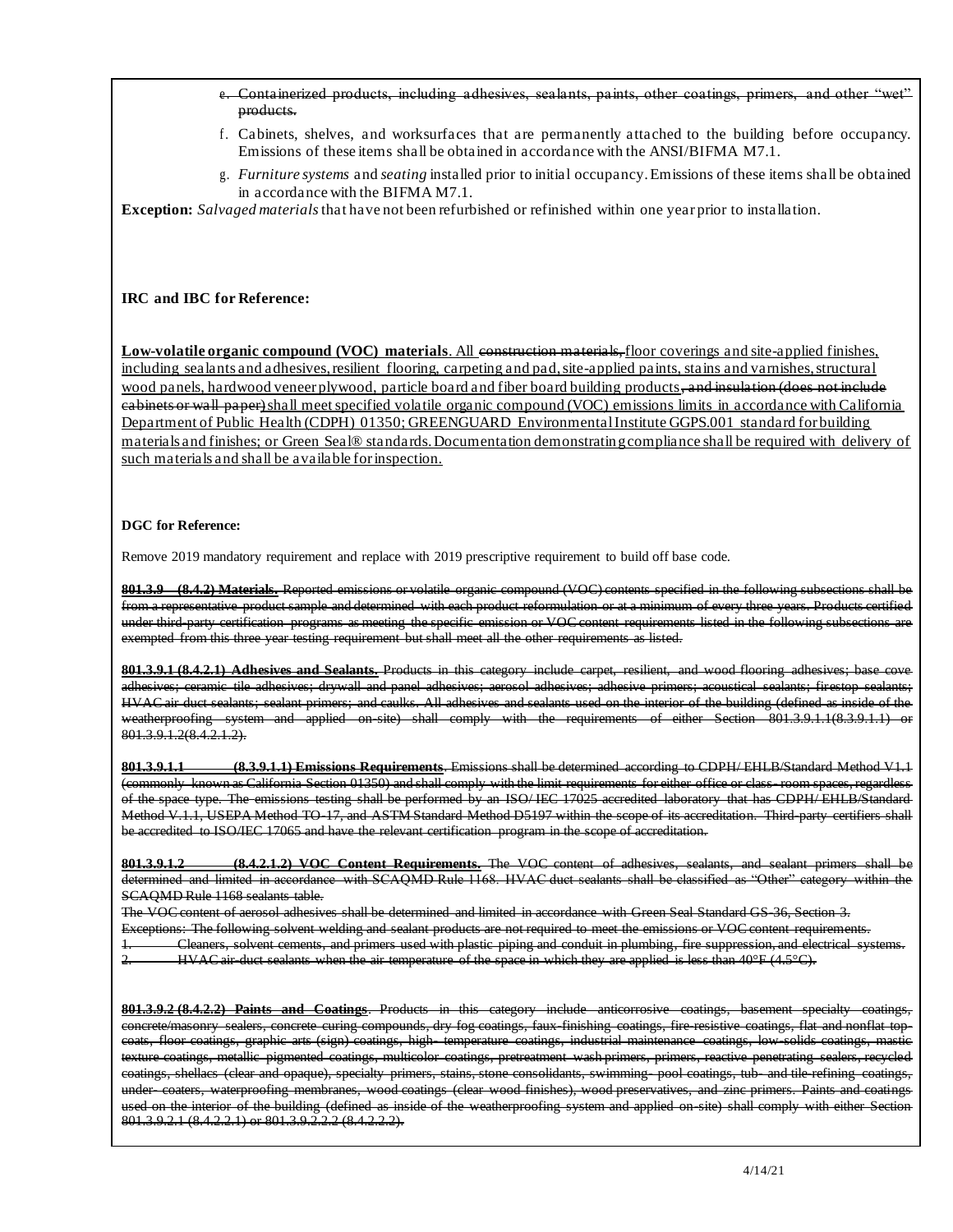## e. Containerized products, including adhesives, sealants, paints, other coatings, primers, and other "wet" products.

- f. Cabinets, shelves, and worksurfaces that are permanently attached to the building before occupancy. Emissions of these items shall be obtained in accordance with the ANSI/BIFMA M7.1.
- g. *Furniture systems* and *seating* installed prior to initial occupancy. Emissions of these items shall be obtained in accordance with the BIFMA M7.1.

 **Exception:** *Salvaged materials* that have not been refurbished or refinished within one year prior to installation.

## **IRC and IBC for Reference:**

**Low-volatile organic compound (VOC) materials.** All construction materials, floor coverings and site-applied finishes, including sealants and adhesives, resilient flooring, carpeting and pad, site-applied paints, stains and varnishes, structural wood panels, hardwood veneer plywood, particle board and fiber board building products, and insulation (does not include cabinets or wall paper)shall meet specified volatile organic compound (VOC) emissions limits in accordance with California Department of Public Health (CDPH) 01350; GREENGUARD EnvironmentalInstitute GGPS.001 standard for building materials and finishes; or Green Seal® standards. Documentation demonstratin gcompliance shall be required with delivery of such materials and shall be available for inspection.

## **DGC for Reference:**

Remove 2019 mandatory requirement and replace with 2019 prescriptive requirement to build off base code.

 **801.3.9 (8.4.2) Materials.** Reported emissions or volatile organic compound (VOC) contents specified in the following subsections shall be from a representative product sample and determined with each product reformulation or at a minimum of every three years. Products certified under third-party certification programs as meeting the specific emission or VOC content requirements listed in the following subsections are exempted from this three year testing requirement but shall meet all the other requirements as listed.

 **801.3.9.1 (8.4.2.1) Adhesives and Sealants.** Products in this category include carpet, resilient, and wood flooring adhesives; base cove adhesives; ceramic tile adhesives; drywall and panel adhesives; aerosol adhesives; adhesive primers; acoustical sealants; firestop sealants; HVAC air duct sealants; sealant primers; and caulks. All adhesives and sealants used on the interior of the building (defined as inside of the weatherproofing system and applied on-site) shall comply with the requirements of either Section 801.3.9.1.1(8.3.9.1.1) or 801.3.9.1.2(8.4.2.1.2).

 (commonly known as California Section 01350) and shall comply with the limit requirements for either office or class- room spaces, regardless of the space type. The emissions testing shall be performed by an ISO/ IEC 17025 accredited laboratory that has CDPH/ EHLB/Standard Method V.1.1, USEPA Method TO-17, and ASTM Standard Method D5197 within the scope of its accreditation. Third-party certifiers shall be accredited to ISO/IEC 17065 and have the relevant certification program in the scope of accreditation. **801.3.9.1.1 (8.3.9.1.1) Emissions Requirements**. Emissions shall be determined according to CDPH/ EHLB/Standard Method V1.1

 **801.3.9.1.2 (8.4.2.1.2) VOC Content Requirements.** The VOC content of adhesives, sealants, and sealant primers shall be determined and limited in accordance with SCAQMD Rule 1168. HVAC duct sealants shall be classified as "Other" category within the SCAQMD Rule 1168 sealants table.

 The VOC content of aerosol adhesives shall be determined and limited in accordance with Green Seal Standard GS-36, Section 3. Exceptions: The following solvent welding and sealant products are not required to meet the emissions or VOC content requirements. 1. Cleaners, solvent cements, and primers used with plastic piping and conduit in plumbing, fire suppression, and electrical systems.

2. HVAC air-duct sealants when the air temperature of the space in which they are applied is less than  $40^{\circ}$ F (4.5 $^{\circ}$ C).

 **801.3.9.2 (8.4.2.2) Paints and Coatings**. Products in this category include anticorrosive coatings, basement specialty coatings, concrete/masonry sealers, concrete curing compounds, dry fog coatings, faux-finishing coatings, fire-resistive coatings, flat and nonflat top- coats, floor coatings, graphic arts (sign) coatings, high- temperature coatings, industrial maintenance coatings, low-solids coatings, mastic used on the interior of the building (defined as inside of the weatherproofing system and applied on-site) shall comply with either Section texture coatings, metallic pigmented coatings, multicolor coatings, pretreatment wash primers, primers, reactive penetrating sealers, recycled coatings, shellacs (clear and opaque), specialty primers, stains, stone consolidants, swimming- pool coatings, tub- and tile-refining coatings, under- coaters, waterproofing membranes, wood coatings (clear wood finishes), wood preservatives, and zinc primers. Paints and coatings 801.3.9.2.1 (8.4.2.2.1) or 801.3.9.2.2.2 (8.4.2.2.2).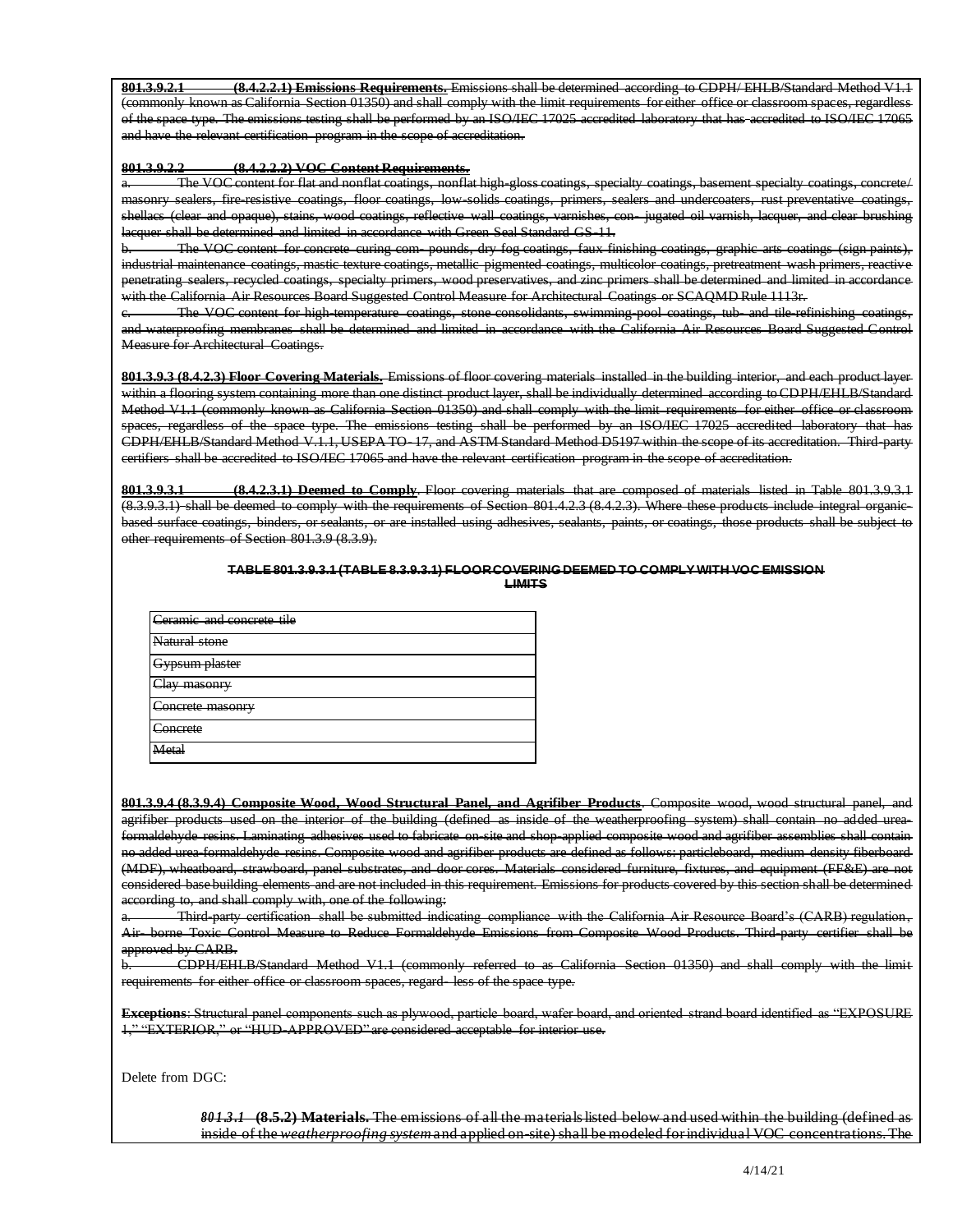(commonly known as California Section 01350) and shall comply with the limit requirements for either office or classroom spaces, regardless and have the relevant certification program in the scope of accreditation. **801.3.9.2.1 (8.4.2.2.1) Emissions Requirements.** Emissions shall be determined according to CDPH/ EHLB/Standard Method V1.1 of the space type. The emissions testing shall be performed by an ISO/IEC 17025 accredited laboratory that has accredited to ISO/IEC 17065

#### **801.3.9.2.2 (8.4.2.2.2) VOC Content Requirements.**

 masonry sealers, fire-resistive coatings, floor coatings, low-solids coatings, primers, sealers and undercoaters, rust preventative coatings, shellacs (clear and opaque), stains, wood coatings, reflective wall coatings, varnishes, con- jugated oil varnish, lacquer, and clear brushing The VOC content for flat and nonflat coatings, nonflat high-gloss coatings, specialty coatings, basement specialty coatings, concrete/ lacquer shall be determined and limited in accordance with Green Seal Standard GS-11.

 b. The VOC content for concrete curing com- pounds, dry fog coatings, faux finishing coatings, graphic arts coatings (sign paints), industrial maintenance coatings, mastic texture coatings, metallic pigmented coatings, multicolor coatings, pretreatment wash primers, reactive penetrating sealers, recycled coatings, specialty primers, wood preservatives, and zinc primers shall be determined and limited in accordance with the California Air Resources Board Suggested Control Measure for Architectural Coatings or SCAQMD Rule 1113r.

 and waterproofing membranes shall be determined and limited in accordance with the California Air Resources Board Suggested Control The VOC content for high-temperature coatings, stone consolidants, swimming-pool coatings, tub- and tile-refinishing coatings, Measure for Architectural Coatings.

 Method V1.1 (commonly known as California Section 01350) and shall comply with the limit requirements for either office or classroom spaces, regardless of the space type. The emissions testing shall be performed by an ISO/IEC 17025 accredited laboratory that has certifiers shall be accredited to ISO/IEC 17065 and have the relevant certification program in the scope of accreditation. **801.3.9.3 (8.4.2.3) Floor Covering Materials.** Emissions of floor covering materials installed in the building interior, and each product layer within a flooring system containing more than one distinct product layer, shall be individually determined according to CDPH/EHLB/Standard CDPH/EHLB/Standard Method V.1.1, USEPA TO- 17, and ASTM Standard Method D5197 within the scope of its accreditation. Third-party

 **801.3.9.3.1 (8.4.2.3.1) Deemed to Comply**. Floor covering materials that are composed of materials listed in Table 801.3.9.3.1 (8.3.9.3.1) shall be deemed to comply with the requirements of Section 801.4.2.3 (8.4.2.3). Where these products include integral organic- based surface coatings, binders, or sealants, or are installed using adhesives, sealants, paints, or coatings, those products shall be subject to other requirements of Section 801.3.9 (8.3.9).

#### **TABLE 801.3.9.3.1 (TABLE 8.3.9.3.1) FLOORCOVERINGDEEMED TO COMPLY WITH VOC EMISSION LIMITS**

| Ceramic and concrete tile              |
|----------------------------------------|
| Natural stone                          |
| <u> Byneum plaetar</u><br>waann waaawa |
| av maconry<br><del>шазопт</del><br>ست  |
| Concrete masonry                       |
| `oncroto<br><del>ooma olo</del>        |
| leto`<br>шы                            |

 **801.3.9.4 (8.3.9.4) Composite Wood, Wood Structural Panel, and Agrifiber Products**. Composite wood, wood structural panel, and agrifiber products used on the interior of the building (defined as inside of the weatherproofing system) shall contain no added urea- formaldehyde resins. Laminating adhesives used to fabricate on-site and shop-applied composite wood and agrifiber assemblies shall contain (MDF), wheatboard, strawboard, panel substrates, and door cores. Materials considered furniture, fixtures, and equipment (FF&E) are not no added urea-formaldehyde resins. Composite wood and agrifiber products are defined as follows: particleboard, medium density fiberboard considered base building elements and are not included in this requirement. Emissions for products covered by this section shall be determined according to, and shall comply with, one of the following:

 a. Third-party certification shall be submitted indicating compliance with the California Air Resource Board's (CARB) regulation, Air- borne Toxic Control Measure to Reduce Formaldehyde Emissions from Composite Wood Products. Third-party certifier shall be approved by CARB.

 b. CDPH/EHLB/Standard Method V1.1 (commonly referred to as California Section 01350) and shall comply with the limit requirements for either office or classroom spaces, regard- less of the space type.

 **Exceptions**: Structural panel components such as plywood, particle board, wafer board, and oriented strand board identified as "EXPOSURE 1," "EXTERIOR," or "HUD-APPROVED" are considered acceptable for interior use.

Delete from DGC:

 *80 1 .3 .1* **(8.5.2) Materials.** The emissions of all the materials listed below and used within the building (defined as inside of the *weatherproofing system* and applied on-site) shall be modeled for individual VOC concentrations. The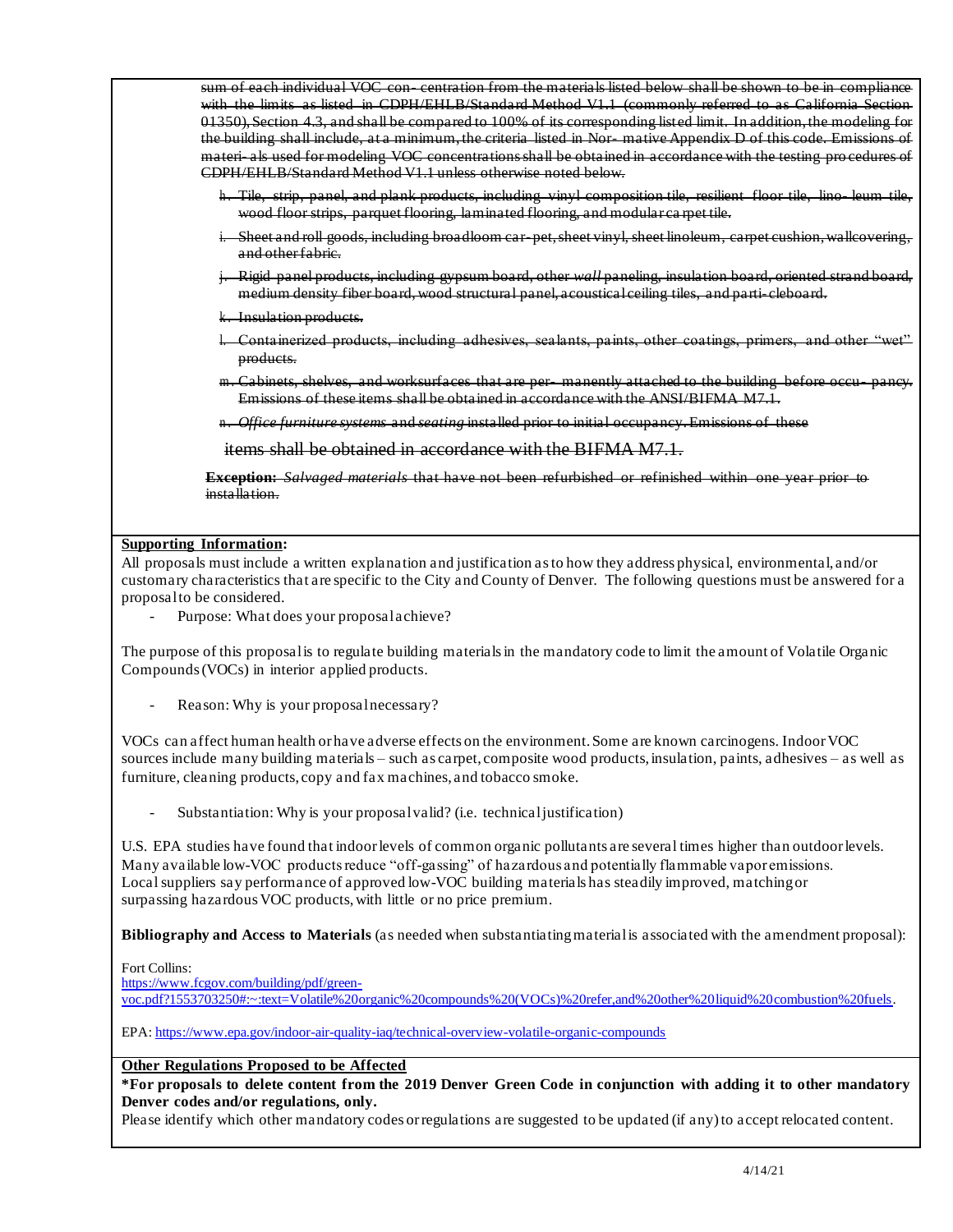sum of each individual VOC con- centration from the materials listed below shall be shown to be in compliance with the limits as listed in CDPH/EHLB/Standard Method V1.1 (commonly referred to as California Section 01350), Section 4.3, and shall be compared to 100% of its corresponding list ed limit. In addition, the modeling for the building shall include, at a minimum, the criteria listed in Nor- mative Appendix D of this code. Emissions of materi- als used for modeling VOC concentrations shall be obtained in accordance with the testing pro cedures of CDPH/EHLB/Standard Method V1.1 unless otherwise noted below*.* 

- h. Tile, strip, panel, and plank products, including vinyl composition tile, resilient floor tile, lino- leum tile, wood floor strips, parquet flooring, laminated flooring, and modular ca rpet tile.
- i. Sheet and roll goods, including broadloom car- pet, sheet vinyl, sheet linoleum, carpet cushion, wallcovering, and other fabric.
- j. Rigid panel products, including gypsum board, other *wall* paneling, insulation board, oriented strand board, medium density fiber board, wood structural panel, acoustical ceiling tiles, and parti- cleboard.
- k. Insulation products.
- l. Containerized products, including adhesives, sealants, paints, other coatings, primers, and other "wet" products.
- m. Cabinets, shelves, and worksurfaces that are per- manently attached to the building before occu- pancy. Emissions of these items shall be obtained in accordance with the ANSI/BIFMA M7.1.
- n. *Office furniture systems* and *seating* installed prior to initial occupancy. Emissions of these

items shall be obtained in accordance with the BIFMA M7.1.

 **Exception:** *Salvaged materials* that have not been refurbished or refinished within one year prior to installation.

## **Supporting Information:**

 All proposals must include a written explanation and justification as to how they address physical, environmental, and/or customary characteristics that are specific to the City and County of Denver. The following questions must be answered for a proposal to be considered.

- Purpose: What does your proposalachieve?

 The purpose of this proposalis to regulate building materials in the mandatory code to limit the amount of Volatile Organic Compounds (VOCs) in interior applied products.

- Reason: Why is your proposal necessary?

 VOCs can affect human health or have adverse effects on the environment. Some are known carcinogens. Indoor VOC sources include many building materials – such as carpet, composite wood products, insulation, paints, adhesives – as well as furniture, cleaning products, copy and fax machines, and tobacco smoke.

- Substantiation: Why is your proposal valid? (i.e. technical justification)

 U.S. EPA studies have found that indoor levels of common organic pollutants are several times higher than outdoor levels. Many available low-VOC productsreduce "off-gassing" of hazardous and potentially flammable vapor emissions. Local suppliers say performance of approved low-VOC building materials has steadily improved, matching or surpassing hazardous VOC products, with little or no price premium.

 **Bibliography and Access to Materials** (as needed when substantiating material is associated with the amendment proposal):

## Fort Collins:

https://www.fcgov.com/building/pdf/green-

voc.pdf?1553703250#:~:text=Volatile%20organic%20compounds%20(VOCs)%20refer,and%20other%20liquid%20combustion%20fuels.

EPA: https://www.epa.gov/indoor-air-quality-iaq/technical-overview-volatile-organic-compounds

## **Other Regulations Proposed to be Affected**

 **\*For proposals to delete content from the 2019 Denver Green Code in conjunction with adding it to other mandatory Denver codes and/or regulations, only.** 

Please identify which other mandatory codes or regulations are suggested to be updated (if any) to accept relocated content.